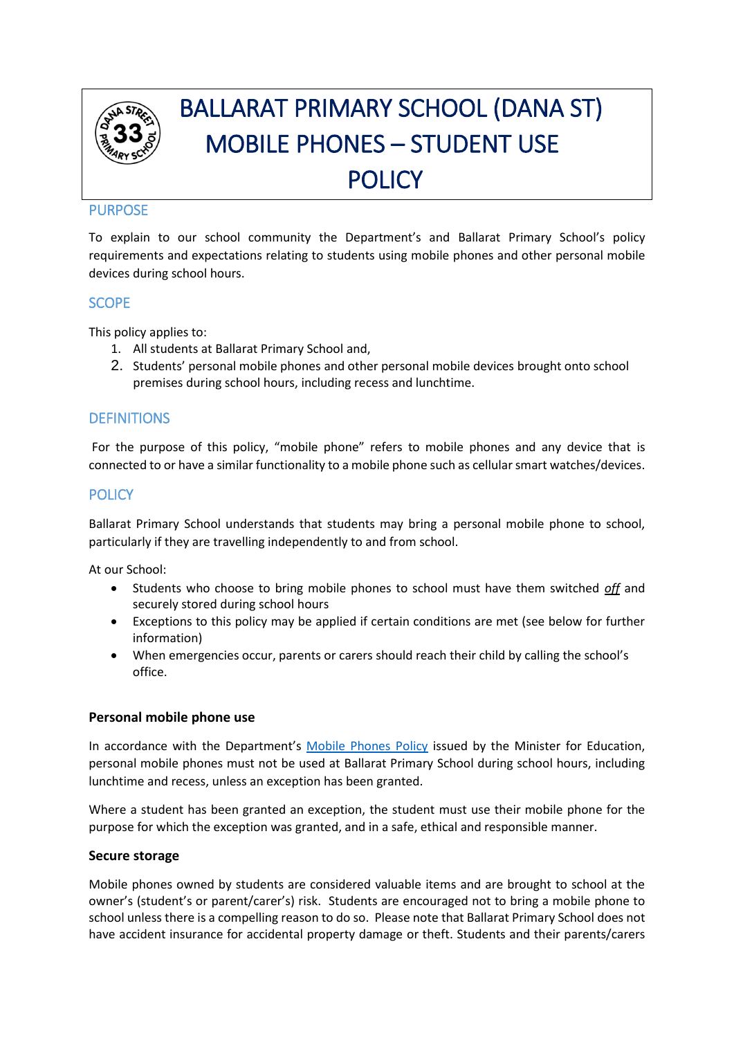

# BALLARAT PRIMARY SCHOOL (DANA ST) MOBILE PHONES – STUDENT USE **POLICY**

# **PURPOSE**

To explain to our school community the Department's and Ballarat Primary School's policy requirements and expectations relating to students using mobile phones and other personal mobile devices during school hours.

# **SCOPE**

This policy applies to:

- 1. All students at Ballarat Primary School and,
- 2. Students' personal mobile phones and other personal mobile devices brought onto school premises during school hours, including recess and lunchtime.

# **DEFINITIONS**

For the purpose of this policy, "mobile phone" refers to mobile phones and any device that is connected to or have a similar functionality to a mobile phone such as cellular smart watches/devices.

# **POLICY**

Ballarat Primary School understands that students may bring a personal mobile phone to school, particularly if they are travelling independently to and from school.

At our School:

- Students who choose to bring mobile phones to school must have them switched *off* and securely stored during school hours
- Exceptions to this policy may be applied if certain conditions are met (see below for further information)
- When emergencies occur, parents or carers should reach their child by calling the school's office.

## **Personal mobile phone use**

In accordance with the Department's [Mobile Phones Policy](https://www.education.vic.gov.au/school/principals/spag/safety/Pages/mobilephones.aspx) issued by the Minister for Education, personal mobile phones must not be used at Ballarat Primary School during school hours, including lunchtime and recess, unless an exception has been granted.

Where a student has been granted an exception, the student must use their mobile phone for the purpose for which the exception was granted, and in a safe, ethical and responsible manner.

#### **Secure storage**

Mobile phones owned by students are considered valuable items and are brought to school at the owner's (student's or parent/carer's) risk. Students are encouraged not to bring a mobile phone to school unless there is a compelling reason to do so. Please note that Ballarat Primary School does not have accident insurance for accidental property damage or theft. Students and their parents/carers